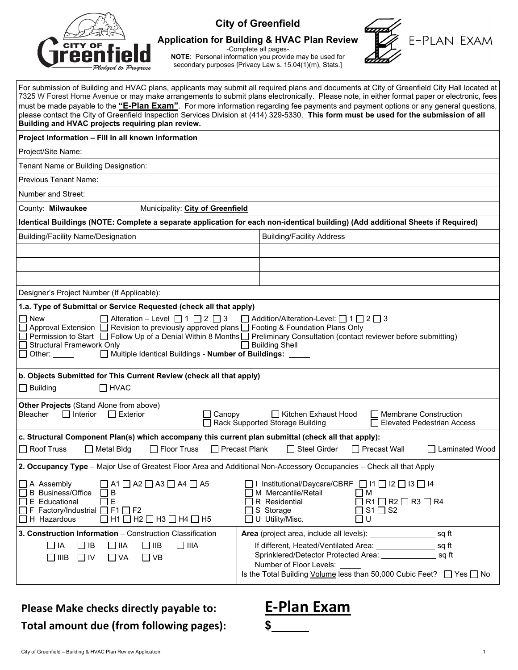

# **City of Greenfield**

**Application for Building & HVAC Plan Review**

-Complete all pages-

**NOTE**: Personal information you provide may be used for secondary purposes [Privacy Law s. 15.04(1)(m), Stats.]



# **Please Make checks directly payable to: E‐Plan Exam Total amount due (from following pages): \$**



E-PLAN EXAM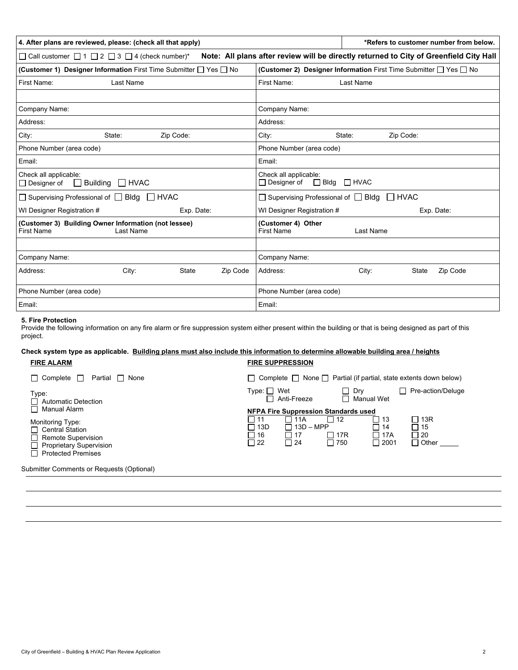| 4. After plans are reviewed, please: (check all that apply)                                                                               | *Refers to customer number from below.                                      |  |  |  |  |  |
|-------------------------------------------------------------------------------------------------------------------------------------------|-----------------------------------------------------------------------------|--|--|--|--|--|
| Note: All plans after review will be directly returned to City of Greenfield City Hall<br>□ Call customer □ 1 □ 2 □ 3 □ 4 (check number)* |                                                                             |  |  |  |  |  |
| (Customer 1) Designer Information First Time Submitter $\Box$ Yes $\Box$ No                                                               | (Customer 2) Designer Information First Time Submitter $\Box$ Yes $\Box$ No |  |  |  |  |  |
| First Name:<br>Last Name                                                                                                                  | First Name:<br>Last Name                                                    |  |  |  |  |  |
|                                                                                                                                           |                                                                             |  |  |  |  |  |
| Company Name:                                                                                                                             | Company Name:                                                               |  |  |  |  |  |
| Address:                                                                                                                                  | Address:                                                                    |  |  |  |  |  |
| Zip Code:<br>City:<br>State:                                                                                                              | Zip Code:<br>City:<br>State:                                                |  |  |  |  |  |
| Phone Number (area code)                                                                                                                  | Phone Number (area code)                                                    |  |  |  |  |  |
| Email:                                                                                                                                    | Email:                                                                      |  |  |  |  |  |
| Check all applicable:<br>$\Box$ HVAC<br>$\Box$ Building<br>$\Box$ Designer of                                                             | Check all applicable:<br>$\Box$ Bldg $\Box$ HVAC<br>$\Box$ Designer of      |  |  |  |  |  |
| □ Supervising Professional of □ Bldg □ HVAC                                                                                               | $\Box$ Supervising Professional of $\Box$ Bldg<br>$\Box$ HVAC               |  |  |  |  |  |
| WI Designer Registration #<br>Exp. Date:                                                                                                  | WI Designer Registration #<br>Exp. Date:                                    |  |  |  |  |  |
| (Customer 3) Building Owner Information (not lessee)<br><b>First Name</b><br>Last Name                                                    | (Customer 4) Other<br><b>First Name</b><br>Last Name                        |  |  |  |  |  |
|                                                                                                                                           |                                                                             |  |  |  |  |  |
| Company Name:                                                                                                                             | Company Name:                                                               |  |  |  |  |  |
| Zip Code<br>Address:<br>City:<br><b>State</b>                                                                                             | Zip Code<br>Address:<br>City:<br><b>State</b>                               |  |  |  |  |  |
| Phone Number (area code)                                                                                                                  | Phone Number (area code)                                                    |  |  |  |  |  |
| Email:                                                                                                                                    | Email:                                                                      |  |  |  |  |  |

### **5. Fire Protection**

Provide the following information on any fire alarm or fire suppression system either present within the building or that is being designed as part of this project.

#### **Check system type as applicable. Building plans must also include this information to determine allowable building area / heights FIRE ALARM FIRE SUPPRESSION**

| $\Box$ Complete<br>Partial   None<br>$\perp$                                                                                                    | $\Box$ Complete $\Box$ None $\Box$ Partial (if partial, state extents down below)                                                                                                                                                                                          |  |  |  |
|-------------------------------------------------------------------------------------------------------------------------------------------------|----------------------------------------------------------------------------------------------------------------------------------------------------------------------------------------------------------------------------------------------------------------------------|--|--|--|
| Type:<br><b>Automatic Detection</b>                                                                                                             | $Type: \square Wet$<br>Pre-action/Deluge<br>$\overline{\phantom{a}}$<br>Dry<br>$\sim$<br>⊓<br>$\Box$ Anti-Freeze<br><b>Manual Wet</b>                                                                                                                                      |  |  |  |
| Manual Alarm<br>Monitoring Type:<br><b>Central Station</b><br>Remote Supervision<br><b>Proprietary Supervision</b><br><b>Protected Premises</b> | <b>NFPA Fire Suppression Standards used</b><br>$\Box$ 13R<br>$\Box$ 12<br>l 11<br>11A<br>  13<br>ヿ 13D<br>$13D - MPP$<br>$\Box$ 15<br>$\Box$ 14<br>$\Box$ 20<br>2 16<br>□ 17R<br>□ 17A<br>∣ 17<br>$\sqsupset$ 22<br>$\Box$ Other<br>$\Box$ 24<br>$\Box$ 2001<br>$\Box$ 750 |  |  |  |
| Submitter Comments or Requests (Optional)                                                                                                       |                                                                                                                                                                                                                                                                            |  |  |  |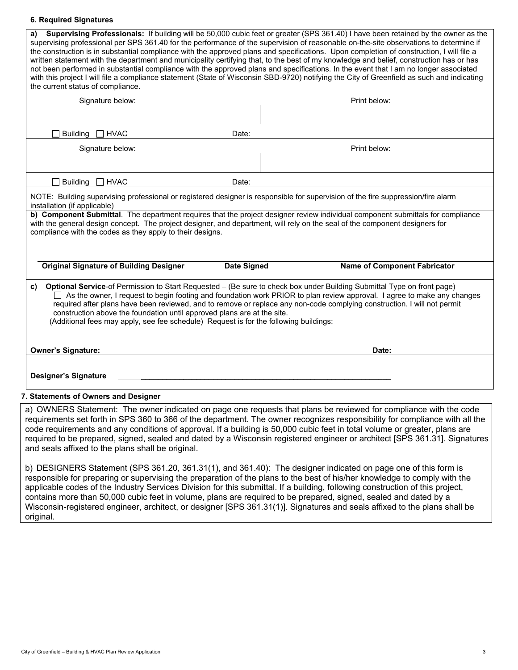## **6. Required Signatures**

| Supervising Professionals: If building will be 50,000 cubic feet or greater (SPS 361.40) I have been retained by the owner as the<br>a)<br>supervising professional per SPS 361.40 for the performance of the supervision of reasonable on-the-site observations to determine if<br>the construction is in substantial compliance with the approved plans and specifications. Upon completion of construction, I will file a<br>written statement with the department and municipality certifying that, to the best of my knowledge and belief, construction has or has<br>not been performed in substantial compliance with the approved plans and specifications. In the event that I am no longer associated<br>with this project I will file a compliance statement (State of Wisconsin SBD-9720) notifying the City of Greenfield as such and indicating<br>the current status of compliance. |                    |                                     |  |  |
|----------------------------------------------------------------------------------------------------------------------------------------------------------------------------------------------------------------------------------------------------------------------------------------------------------------------------------------------------------------------------------------------------------------------------------------------------------------------------------------------------------------------------------------------------------------------------------------------------------------------------------------------------------------------------------------------------------------------------------------------------------------------------------------------------------------------------------------------------------------------------------------------------|--------------------|-------------------------------------|--|--|
| Signature below:                                                                                                                                                                                                                                                                                                                                                                                                                                                                                                                                                                                                                                                                                                                                                                                                                                                                                   |                    | Print below:                        |  |  |
| <b>Building</b><br>$\Box$ HVAC                                                                                                                                                                                                                                                                                                                                                                                                                                                                                                                                                                                                                                                                                                                                                                                                                                                                     | Date:              |                                     |  |  |
| Signature below:                                                                                                                                                                                                                                                                                                                                                                                                                                                                                                                                                                                                                                                                                                                                                                                                                                                                                   |                    | Print below:                        |  |  |
| Building $\Box$ HVAC                                                                                                                                                                                                                                                                                                                                                                                                                                                                                                                                                                                                                                                                                                                                                                                                                                                                               | Date:              |                                     |  |  |
| installation (if applicable)<br>b) Component Submittal. The department requires that the project designer review individual component submittals for compliance<br>with the general design concept. The project designer, and department, will rely on the seal of the component designers for<br>compliance with the codes as they apply to their designs.                                                                                                                                                                                                                                                                                                                                                                                                                                                                                                                                        |                    |                                     |  |  |
| <b>Original Signature of Building Designer</b>                                                                                                                                                                                                                                                                                                                                                                                                                                                                                                                                                                                                                                                                                                                                                                                                                                                     | <b>Date Signed</b> | <b>Name of Component Fabricator</b> |  |  |
| Optional Service-of Permission to Start Requested - (Be sure to check box under Building Submittal Type on front page)<br>C)<br>$\Box$ As the owner, I request to begin footing and foundation work PRIOR to plan review approval. I agree to make any changes<br>required after plans have been reviewed, and to remove or replace any non-code complying construction. I will not permit<br>construction above the foundation until approved plans are at the site.<br>(Additional fees may apply, see fee schedule) Request is for the following buildings:                                                                                                                                                                                                                                                                                                                                     |                    |                                     |  |  |
| <b>Owner's Signature:</b>                                                                                                                                                                                                                                                                                                                                                                                                                                                                                                                                                                                                                                                                                                                                                                                                                                                                          |                    | Date:                               |  |  |
| <b>Designer's Signature</b>                                                                                                                                                                                                                                                                                                                                                                                                                                                                                                                                                                                                                                                                                                                                                                                                                                                                        |                    |                                     |  |  |
|                                                                                                                                                                                                                                                                                                                                                                                                                                                                                                                                                                                                                                                                                                                                                                                                                                                                                                    |                    |                                     |  |  |

a) OWNERS Statement: The owner indicated on page one requests that plans be reviewed for compliance with the code requirements set forth in SPS 360 to 366 of the department. The owner recognizes responsibility for compliance with all the code requirements and any conditions of approval. If a building is 50,000 cubic feet in total volume or greater, plans are required to be prepared, signed, sealed and dated by a Wisconsin registered engineer or architect [SPS 361.31]. Signatures and seals affixed to the plans shall be original.

b) DESIGNERS Statement (SPS 361.20, 361.31(1), and 361.40): The designer indicated on page one of this form is responsible for preparing or supervising the preparation of the plans to the best of his/her knowledge to comply with the applicable codes of the Industry Services Division for this submittal. If a building, following construction of this project, contains more than 50,000 cubic feet in volume, plans are required to be prepared, signed, sealed and dated by a Wisconsin-registered engineer, architect, or designer [SPS 361.31(1)]. Signatures and seals affixed to the plans shall be original.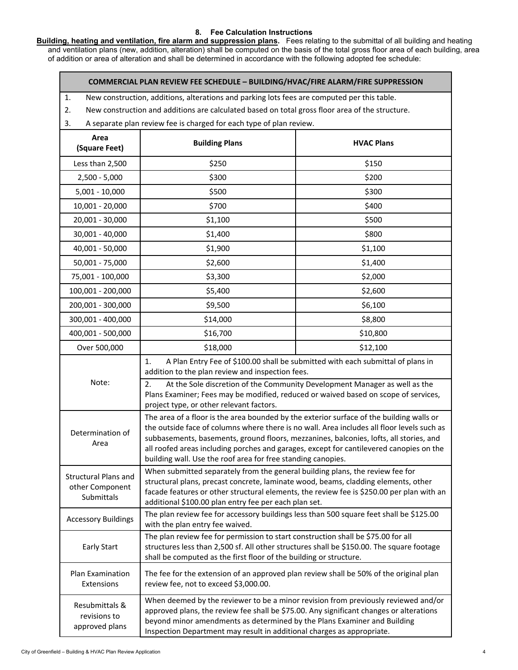# **8. Fee Calculation Instructions**

**Building, heating and ventilation, fire alarm and suppression plans.** Fees relating to the submittal of all building and heating and ventilation plans (new, addition, alteration) shall be computed on the basis of the total gross floor area of each building, area of addition or area of alteration and shall be determined in accordance with the following adopted fee schedule:

# **COMMERCIAL PLAN REVIEW FEE SCHEDULE – BUILDING/HVAC/FIRE ALARM/FIRE SUPPRESSION**

1. New construction, additions, alterations and parking lots fees are computed per this table.

- 2. New construction and additions are calculated based on total gross floor area of the structure.
- 3. A separate plan review fee is charged for each type of plan review.

| Area<br>(Square Feet)                                                                                                                                                                                                                                                                                                                                                                     | <b>Building Plans</b>                                                                                                                                                                                                                                                                                                                                                                                                                       | <b>HVAC Plans</b> |  |  |
|-------------------------------------------------------------------------------------------------------------------------------------------------------------------------------------------------------------------------------------------------------------------------------------------------------------------------------------------------------------------------------------------|---------------------------------------------------------------------------------------------------------------------------------------------------------------------------------------------------------------------------------------------------------------------------------------------------------------------------------------------------------------------------------------------------------------------------------------------|-------------------|--|--|
| Less than 2,500                                                                                                                                                                                                                                                                                                                                                                           | \$250                                                                                                                                                                                                                                                                                                                                                                                                                                       | \$150             |  |  |
| $2,500 - 5,000$                                                                                                                                                                                                                                                                                                                                                                           | \$300                                                                                                                                                                                                                                                                                                                                                                                                                                       | \$200             |  |  |
| $5,001 - 10,000$                                                                                                                                                                                                                                                                                                                                                                          | \$500                                                                                                                                                                                                                                                                                                                                                                                                                                       | \$300             |  |  |
| 10,001 - 20,000                                                                                                                                                                                                                                                                                                                                                                           | \$700                                                                                                                                                                                                                                                                                                                                                                                                                                       | \$400             |  |  |
| 20,001 - 30,000                                                                                                                                                                                                                                                                                                                                                                           | \$1,100                                                                                                                                                                                                                                                                                                                                                                                                                                     | \$500             |  |  |
| 30,001 - 40,000                                                                                                                                                                                                                                                                                                                                                                           | \$1,400                                                                                                                                                                                                                                                                                                                                                                                                                                     | \$800             |  |  |
| 40,001 - 50,000                                                                                                                                                                                                                                                                                                                                                                           | \$1,900                                                                                                                                                                                                                                                                                                                                                                                                                                     | \$1,100           |  |  |
| 50,001 - 75,000                                                                                                                                                                                                                                                                                                                                                                           | \$2,600                                                                                                                                                                                                                                                                                                                                                                                                                                     | \$1,400           |  |  |
| 75,001 - 100,000                                                                                                                                                                                                                                                                                                                                                                          | \$3,300                                                                                                                                                                                                                                                                                                                                                                                                                                     | \$2,000           |  |  |
| 100,001 - 200,000                                                                                                                                                                                                                                                                                                                                                                         | \$5,400                                                                                                                                                                                                                                                                                                                                                                                                                                     | \$2,600           |  |  |
| 200,001 - 300,000                                                                                                                                                                                                                                                                                                                                                                         | \$9,500                                                                                                                                                                                                                                                                                                                                                                                                                                     | \$6,100           |  |  |
| 300,001 - 400,000                                                                                                                                                                                                                                                                                                                                                                         | \$14,000                                                                                                                                                                                                                                                                                                                                                                                                                                    | \$8,800           |  |  |
| 400,001 - 500,000                                                                                                                                                                                                                                                                                                                                                                         | \$16,700                                                                                                                                                                                                                                                                                                                                                                                                                                    | \$10,800          |  |  |
| Over 500,000                                                                                                                                                                                                                                                                                                                                                                              | \$18,000                                                                                                                                                                                                                                                                                                                                                                                                                                    | \$12,100          |  |  |
|                                                                                                                                                                                                                                                                                                                                                                                           | 1.<br>A Plan Entry Fee of \$100.00 shall be submitted with each submittal of plans in<br>addition to the plan review and inspection fees.                                                                                                                                                                                                                                                                                                   |                   |  |  |
| Note:                                                                                                                                                                                                                                                                                                                                                                                     | At the Sole discretion of the Community Development Manager as well as the<br>2.<br>Plans Examiner; Fees may be modified, reduced or waived based on scope of services,<br>project type, or other relevant factors.                                                                                                                                                                                                                         |                   |  |  |
| Determination of<br>Area                                                                                                                                                                                                                                                                                                                                                                  | The area of a floor is the area bounded by the exterior surface of the building walls or<br>the outside face of columns where there is no wall. Area includes all floor levels such as<br>subbasements, basements, ground floors, mezzanines, balconies, lofts, all stories, and<br>all roofed areas including porches and garages, except for cantilevered canopies on the<br>building wall. Use the roof area for free standing canopies. |                   |  |  |
| When submitted separately from the general building plans, the review fee for<br><b>Structural Plans and</b><br>structural plans, precast concrete, laminate wood, beams, cladding elements, other<br>other Component<br>facade features or other structural elements, the review fee is \$250.00 per plan with an<br>Submittals<br>additional \$100.00 plan entry fee per each plan set. |                                                                                                                                                                                                                                                                                                                                                                                                                                             |                   |  |  |
| The plan review fee for accessory buildings less than 500 square feet shall be \$125.00<br><b>Accessory Buildings</b><br>with the plan entry fee waived.                                                                                                                                                                                                                                  |                                                                                                                                                                                                                                                                                                                                                                                                                                             |                   |  |  |
| The plan review fee for permission to start construction shall be \$75.00 for all<br>structures less than 2,500 sf. All other structures shall be \$150.00. The square footage<br><b>Early Start</b><br>shall be computed as the first floor of the building or structure.                                                                                                                |                                                                                                                                                                                                                                                                                                                                                                                                                                             |                   |  |  |
| Plan Examination<br>Extensions                                                                                                                                                                                                                                                                                                                                                            | The fee for the extension of an approved plan review shall be 50% of the original plan<br>review fee, not to exceed \$3,000.00.                                                                                                                                                                                                                                                                                                             |                   |  |  |
| Resubmittals &<br>revisions to<br>approved plans                                                                                                                                                                                                                                                                                                                                          | When deemed by the reviewer to be a minor revision from previously reviewed and/or<br>approved plans, the review fee shall be \$75.00. Any significant changes or alterations<br>beyond minor amendments as determined by the Plans Examiner and Building<br>Inspection Department may result in additional charges as appropriate.                                                                                                         |                   |  |  |